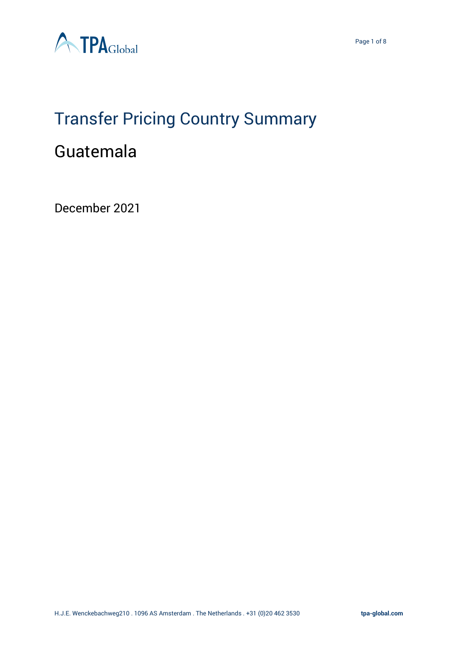

# Transfer Pricing Country Summary

# Guatemala

December 2021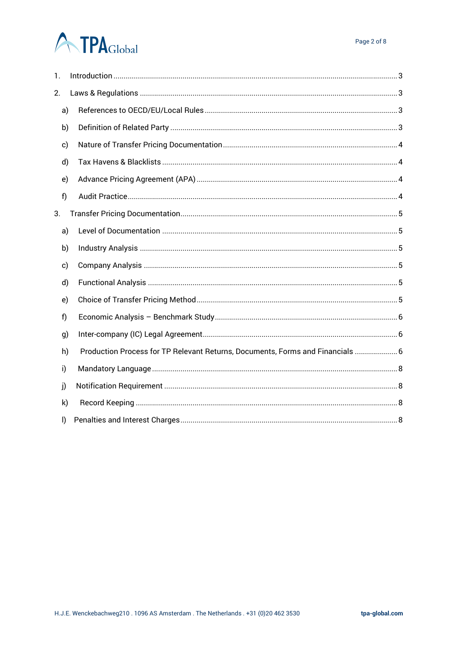# **ATPA**Global

| 1. |                                                                                |
|----|--------------------------------------------------------------------------------|
| 2. |                                                                                |
| a) |                                                                                |
| b) |                                                                                |
| c) |                                                                                |
| d) |                                                                                |
| e) |                                                                                |
| f) |                                                                                |
| 3. |                                                                                |
| a) |                                                                                |
| b) |                                                                                |
| c) |                                                                                |
| d) |                                                                                |
| e) |                                                                                |
| f  |                                                                                |
| g) |                                                                                |
| h) | Production Process for TP Relevant Returns, Documents, Forms and Financials  6 |
| i) |                                                                                |
| j) |                                                                                |
| k) |                                                                                |
| I) |                                                                                |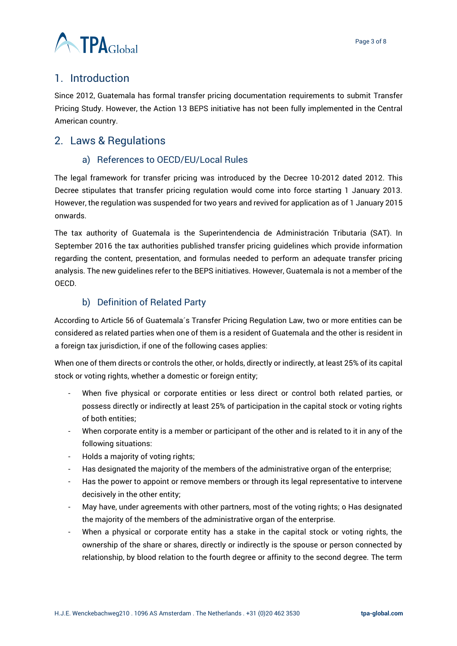

# <span id="page-2-0"></span>1. Introduction

Since 2012, Guatemala has formal transfer pricing documentation requirements to submit Transfer Pricing Study. However, the Action 13 BEPS initiative has not been fully implemented in the Central American country.

# <span id="page-2-2"></span><span id="page-2-1"></span>2. Laws & Regulations

## a) References to OECD/EU/Local Rules

The legal framework for transfer pricing was introduced by the Decree 10-2012 dated 2012. This Decree stipulates that transfer pricing regulation would come into force starting 1 January 2013. However, the regulation was suspended for two years and revived for application as of 1 January 2015 onwards.

The tax authority of Guatemala is the Superintendencia de Administración Tributaria (SAT). In September 2016 the tax authorities published transfer pricing guidelines which provide information regarding the content, presentation, and formulas needed to perform an adequate transfer pricing analysis. The new guidelines refer to the BEPS initiatives. However, Guatemala is not a member of the OECD.

## b) Definition of Related Party

<span id="page-2-3"></span>According to Article 56 of Guatemala´s Transfer Pricing Regulation Law, two or more entities can be considered as related parties when one of them is a resident of Guatemala and the other is resident in a foreign tax jurisdiction, if one of the following cases applies:

When one of them directs or controls the other, or holds, directly or indirectly, at least 25% of its capital stock or voting rights, whether a domestic or foreign entity;

- When five physical or corporate entities or less direct or control both related parties, or possess directly or indirectly at least 25% of participation in the capital stock or voting rights of both entities;
- When corporate entity is a member or participant of the other and is related to it in any of the following situations:
- Holds a majority of voting rights;
- Has designated the majority of the members of the administrative organ of the enterprise;
- Has the power to appoint or remove members or through its legal representative to intervene decisively in the other entity;
- May have, under agreements with other partners, most of the voting rights; o Has designated the majority of the members of the administrative organ of the enterprise.
- When a physical or corporate entity has a stake in the capital stock or voting rights, the ownership of the share or shares, directly or indirectly is the spouse or person connected by relationship, by blood relation to the fourth degree or affinity to the second degree. The term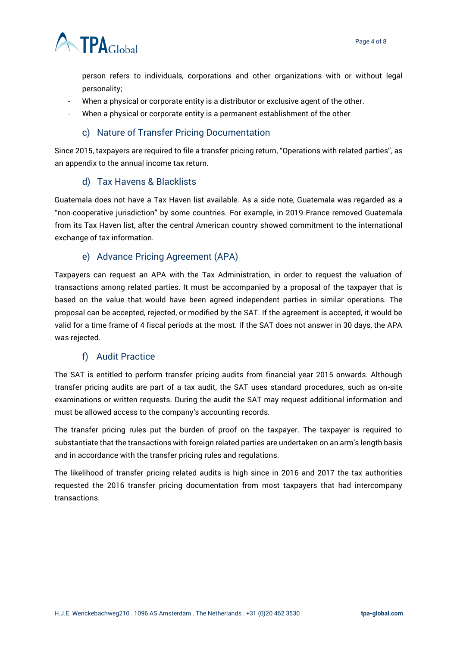

person refers to individuals, corporations and other organizations with or without legal personality;

- When a physical or corporate entity is a distributor or exclusive agent of the other.
- When a physical or corporate entity is a permanent establishment of the other

#### c) Nature of Transfer Pricing Documentation

<span id="page-3-0"></span>Since 2015, taxpayers are required to file a transfer pricing return, "Operations with related parties", as an appendix to the annual income tax return.

#### d) Tax Havens & Blacklists

<span id="page-3-1"></span>Guatemala does not have a Tax Haven list available. As a side note, Guatemala was regarded as a "non-cooperative jurisdiction" by some countries. For example, in 2019 France removed Guatemala from its Tax Haven list, after the central American country showed commitment to the international exchange of tax information.

#### e) Advance Pricing Agreement (APA)

<span id="page-3-2"></span>Taxpayers can request an APA with the Tax Administration, in order to request the valuation of transactions among related parties. It must be accompanied by a proposal of the taxpayer that is based on the value that would have been agreed independent parties in similar operations. The proposal can be accepted, rejected, or modified by the SAT. If the agreement is accepted, it would be valid for a time frame of 4 fiscal periods at the most. If the SAT does not answer in 30 days, the APA was rejected.

#### f) Audit Practice

<span id="page-3-3"></span>The SAT is entitled to perform transfer pricing audits from financial year 2015 onwards. Although transfer pricing audits are part of a tax audit, the SAT uses standard procedures, such as on-site examinations or written requests. During the audit the SAT may request additional information and must be allowed access to the company's accounting records.

The transfer pricing rules put the burden of proof on the taxpayer. The taxpayer is required to substantiate that the transactions with foreign related parties are undertaken on an arm's length basis and in accordance with the transfer pricing rules and regulations.

The likelihood of transfer pricing related audits is high since in 2016 and 2017 the tax authorities requested the 2016 transfer pricing documentation from most taxpayers that had intercompany transactions.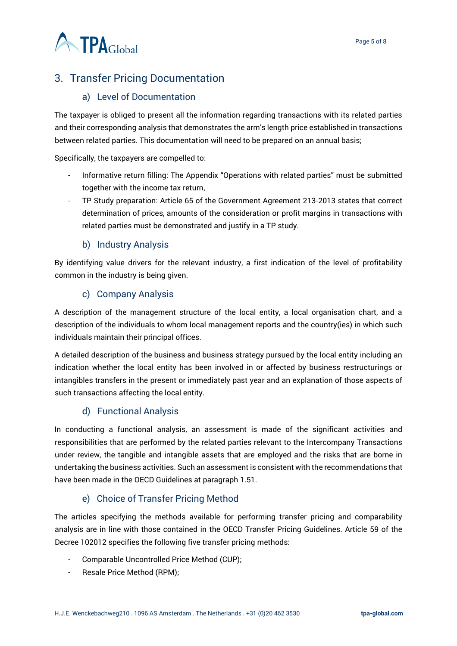

# <span id="page-4-0"></span>3. Transfer Pricing Documentation

#### a) Level of Documentation

<span id="page-4-1"></span>The taxpayer is obliged to present all the information regarding transactions with its related parties and their corresponding analysis that demonstrates the arm's length price established in transactions between related parties. This documentation will need to be prepared on an annual basis;

Specifically, the taxpayers are compelled to:

- Informative return filling: The Appendix "Operations with related parties" must be submitted together with the income tax return,
- TP Study preparation: Article 65 of the Government Agreement 213-2013 states that correct determination of prices, amounts of the consideration or profit margins in transactions with related parties must be demonstrated and justify in a TP study.

#### b) Industry Analysis

<span id="page-4-2"></span>By identifying value drivers for the relevant industry, a first indication of the level of profitability common in the industry is being given.

#### c) Company Analysis

<span id="page-4-3"></span>A description of the management structure of the local entity, a local organisation chart, and a description of the individuals to whom local management reports and the country(ies) in which such individuals maintain their principal offices.

A detailed description of the business and business strategy pursued by the local entity including an indication whether the local entity has been involved in or affected by business restructurings or intangibles transfers in the present or immediately past year and an explanation of those aspects of such transactions affecting the local entity.

#### d) Functional Analysis

<span id="page-4-4"></span>In conducting a functional analysis, an assessment is made of the significant activities and responsibilities that are performed by the related parties relevant to the Intercompany Transactions under review, the tangible and intangible assets that are employed and the risks that are borne in undertaking the business activities. Such an assessment is consistent with the recommendations that have been made in the OECD Guidelines at paragraph 1.51.

#### e) Choice of Transfer Pricing Method

<span id="page-4-5"></span>The articles specifying the methods available for performing transfer pricing and comparability analysis are in line with those contained in the OECD Transfer Pricing Guidelines. Article 59 of the Decree 102012 specifies the following five transfer pricing methods:

- Comparable Uncontrolled Price Method (CUP);
- Resale Price Method (RPM);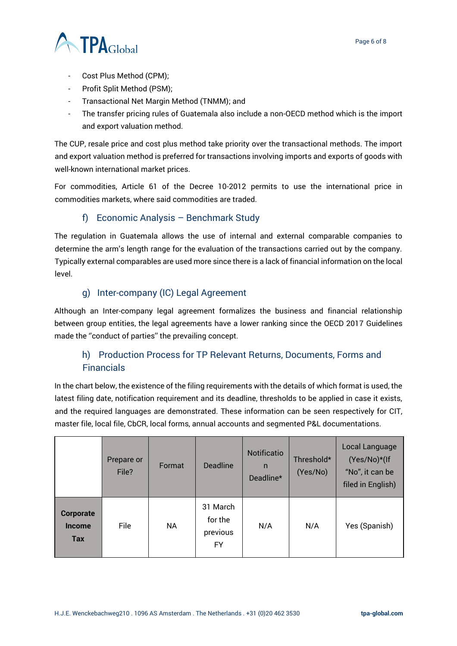

- Cost Plus Method (CPM);
- Profit Split Method (PSM);
- Transactional Net Margin Method (TNMM); and
- The transfer pricing rules of Guatemala also include a non-OECD method which is the import and export valuation method.

The CUP, resale price and cost plus method take priority over the transactional methods. The import and export valuation method is preferred for transactions involving imports and exports of goods with well-known international market prices.

For commodities, Article 61 of the Decree 10-2012 permits to use the international price in commodities markets, where said commodities are traded.

#### f) Economic Analysis – Benchmark Study

<span id="page-5-0"></span>The regulation in Guatemala allows the use of internal and external comparable companies to determine the arm's length range for the evaluation of the transactions carried out by the company. Typically external comparables are used more since there is a lack of financial information on the local level.

#### g) Inter-company (IC) Legal Agreement

<span id="page-5-1"></span>Although an Inter-company legal agreement formalizes the business and financial relationship between group entities, the legal agreements have a lower ranking since the OECD 2017 Guidelines made the ''conduct of parties'' the prevailing concept.

## <span id="page-5-2"></span>h) Production Process for TP Relevant Returns, Documents, Forms and Financials

In the chart below, the existence of the filing requirements with the details of which format is used, the latest filing date, notification requirement and its deadline, thresholds to be applied in case it exists, and the required languages are demonstrated. These information can be seen respectively for CIT, master file, local file, CbCR, local forms, annual accounts and segmented P&L documentations.

|                                                 | Prepare or<br>File? | Format    | <b>Deadline</b>                       | Notificatio<br>$\mathsf{n}$<br>Deadline* | Threshold*<br>(Yes/No) | Local Language<br>(Yes/No)*(If<br>"No", it can be<br>filed in English) |
|-------------------------------------------------|---------------------|-----------|---------------------------------------|------------------------------------------|------------------------|------------------------------------------------------------------------|
| <b>Corporate</b><br><b>Income</b><br><b>Tax</b> | File                | <b>NA</b> | 31 March<br>for the<br>previous<br>FY | N/A                                      | N/A                    | Yes (Spanish)                                                          |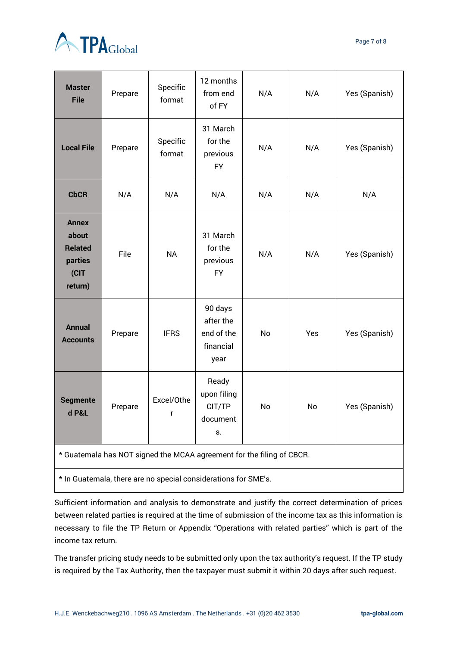



| 31 March<br>for the<br>Specific<br><b>Local File</b><br>Yes (Spanish)<br>Prepare<br>N/A<br>N/A<br>format<br>previous<br><b>FY</b><br><b>CbCR</b><br>N/A<br>N/A<br>N/A<br>N/A<br>N/A<br>N/A<br><b>Annex</b><br>31 March<br>about<br><b>Related</b><br>for the<br>File<br><b>NA</b><br>N/A<br>N/A<br>Yes (Spanish)<br>parties<br>previous<br>(CIT<br><b>FY</b><br>return)<br>90 days<br>after the<br><b>Annual</b><br>end of the<br><b>IFRS</b><br>Yes (Spanish)<br>Prepare<br>No<br>Yes<br><b>Accounts</b><br>financial<br>year<br>Ready<br>upon filing<br>Excel/Othe<br><b>Segmente</b><br>CIT/TP<br>No<br>Prepare<br>No<br>Yes (Spanish)<br>d P&L<br>r<br>document<br>S.<br>* Guatemala has NOT signed the MCAA agreement for the filing of CBCR. |  |
|----------------------------------------------------------------------------------------------------------------------------------------------------------------------------------------------------------------------------------------------------------------------------------------------------------------------------------------------------------------------------------------------------------------------------------------------------------------------------------------------------------------------------------------------------------------------------------------------------------------------------------------------------------------------------------------------------------------------------------------------------|--|
|                                                                                                                                                                                                                                                                                                                                                                                                                                                                                                                                                                                                                                                                                                                                                    |  |
|                                                                                                                                                                                                                                                                                                                                                                                                                                                                                                                                                                                                                                                                                                                                                    |  |
|                                                                                                                                                                                                                                                                                                                                                                                                                                                                                                                                                                                                                                                                                                                                                    |  |
|                                                                                                                                                                                                                                                                                                                                                                                                                                                                                                                                                                                                                                                                                                                                                    |  |
|                                                                                                                                                                                                                                                                                                                                                                                                                                                                                                                                                                                                                                                                                                                                                    |  |
|                                                                                                                                                                                                                                                                                                                                                                                                                                                                                                                                                                                                                                                                                                                                                    |  |

\* In Guatemala, there are no special considerations for SME's.

Sufficient information and analysis to demonstrate and justify the correct determination of prices between related parties is required at the time of submission of the income tax as this information is necessary to file the TP Return or Appendix "Operations with related parties" which is part of the income tax return.

The transfer pricing study needs to be submitted only upon the tax authority's request. If the TP study is required by the Tax Authority, then the taxpayer must submit it within 20 days after such request.